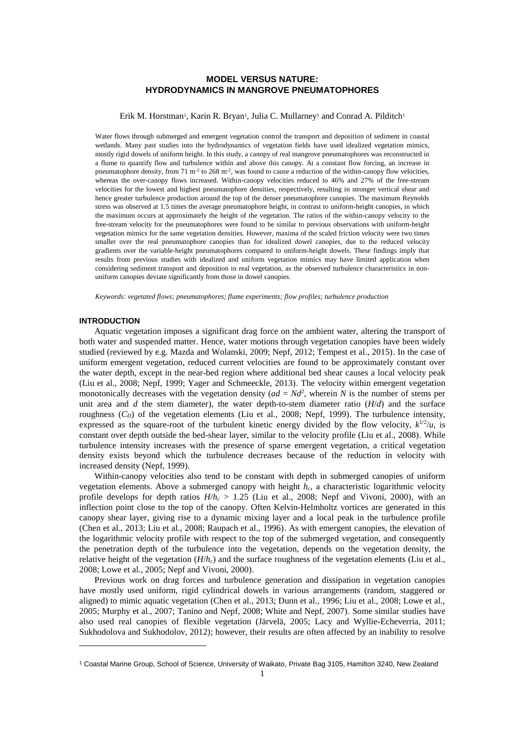# **MODEL VERSUS NATURE: HYDRODYNAMICS IN MANGROVE PNEUMATOPHORES**

Erik M. Horstman<sup>1</sup>, Karin R. Bryan<sup>1</sup>, Julia C. Mullarney<sup>1</sup> and Conrad A. Pilditch<sup>1</sup>

Water flows through submerged and emergent vegetation control the transport and deposition of sediment in coastal wetlands. Many past studies into the hydrodynamics of vegetation fields have used idealized vegetation mimics, mostly rigid dowels of uniform height. In this study, a canopy of real mangrove pneumatophores was reconstructed in a flume to quantify flow and turbulence within and above this canopy. At a constant flow forcing, an increase in pneumatophore density, from 71 m<sup>-2</sup> to 268 m<sup>-2</sup>, was found to cause a reduction of the within-canopy flow velocities, whereas the over-canopy flows increased. Within-canopy velocities reduced to 46% and 27% of the free-stream velocities for the lowest and highest pneumatophore densities, respectively, resulting in stronger vertical shear and hence greater turbulence production around the top of the denser pneumatophore canopies. The maximum Reynolds stress was observed at 1.5 times the average pneumatophore height, in contrast to uniform-height canopies, in which the maximum occurs at approximately the height of the vegetation. The ratios of the within-canopy velocity to the free-stream velocity for the pneumatophores were found to be similar to previous observations with uniform-height vegetation mimics for the same vegetation densities. However, maxima of the scaled friction velocity were two times smaller over the real pneumatophore canopies than for idealized dowel canopies, due to the reduced velocity gradients over the variable-height pneumatophores compared to uniform-height dowels. These findings imply that results from previous studies with idealized and uniform vegetation mimics may have limited application when considering sediment transport and deposition in real vegetation, as the observed turbulence characteristics in nonuniform canopies deviate significantly from those in dowel canopies.

*Keywords: vegetated flows; pneumatophores; flume experiments; flow profiles; turbulence production*

#### **INTRODUCTION**

1

Aquatic vegetation imposes a significant drag force on the ambient water, altering the transport of both water and suspended matter. Hence, water motions through vegetation canopies have been widely studied (reviewed by e.g. Mazda and Wolanski, 2009; Nepf, 2012; Tempest et al., 2015). In the case of uniform emergent vegetation, reduced current velocities are found to be approximately constant over the water depth, except in the near-bed region where additional bed shear causes a local velocity peak (Liu et al., 2008; Nepf, 1999; Yager and Schmeeckle, 2013). The velocity within emergent vegetation monotonically decreases with the vegetation density  $(ad = Nd^2)$ , wherein *N* is the number of stems per unit area and *d* the stem diameter), the water depth-to-stem diameter ratio  $(H/d)$  and the surface roughness  $(C_D)$  of the vegetation elements (Liu et al., 2008; Nepf, 1999). The turbulence intensity, expressed as the square-root of the turbulent kinetic energy divided by the flow velocity,  $k^{1/2}/u$ , is constant over depth outside the bed-shear layer, similar to the velocity profile (Liu et al., 2008). While turbulence intensity increases with the presence of sparse emergent vegetation, a critical vegetation density exists beyond which the turbulence decreases because of the reduction in velocity with increased density (Nepf, 1999).

Within-canopy velocities also tend to be constant with depth in submerged canopies of uniform vegetation elements. Above a submerged canopy with height *hc*, a characteristic logarithmic velocity profile develops for depth ratios *H*/*h<sup>c</sup>* > 1.25 (Liu et al., 2008; Nepf and Vivoni, 2000), with an inflection point close to the top of the canopy. Often Kelvin-Helmholtz vortices are generated in this canopy shear layer, giving rise to a dynamic mixing layer and a local peak in the turbulence profile (Chen et al., 2013; Liu et al., 2008; Raupach et al., 1996). As with emergent canopies, the elevation of the logarithmic velocity profile with respect to the top of the submerged vegetation, and consequently the penetration depth of the turbulence into the vegetation, depends on the vegetation density, the relative height of the vegetation  $(H/h_c)$  and the surface roughness of the vegetation elements (Liu et al., 2008; Lowe et al., 2005; Nepf and Vivoni, 2000).

Previous work on drag forces and turbulence generation and dissipation in vegetation canopies have mostly used uniform, rigid cylindrical dowels in various arrangements (random, staggered or aligned) to mimic aquatic vegetation (Chen et al., 2013; Dunn et al., 1996; Liu et al., 2008; Lowe et al., 2005; Murphy et al., 2007; Tanino and Nepf, 2008; White and Nepf, 2007). Some similar studies have also used real canopies of flexible vegetation (Järvelä, 2005; Lacy and Wyllie-Echeverria, 2011; Sukhodolova and Sukhodolov, 2012); however, their results are often affected by an inability to resolve

<sup>1</sup> Coastal Marine Group, School of Science, University of Waikato, Private Bag 3105, Hamilton 3240, New Zealand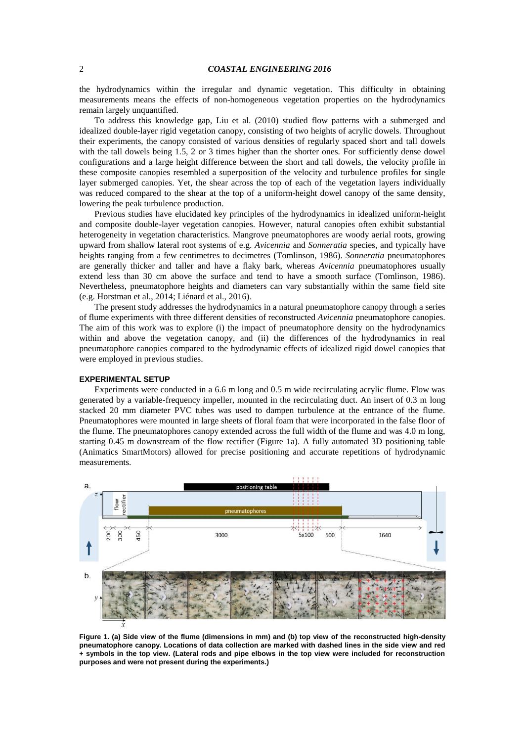# 2 *COASTAL ENGINEERING 2016*

the hydrodynamics within the irregular and dynamic vegetation. This difficulty in obtaining measurements means the effects of non-homogeneous vegetation properties on the hydrodynamics remain largely unquantified.

To address this knowledge gap, Liu et al. (2010) studied flow patterns with a submerged and idealized double-layer rigid vegetation canopy, consisting of two heights of acrylic dowels. Throughout their experiments, the canopy consisted of various densities of regularly spaced short and tall dowels with the tall dowels being 1.5, 2 or 3 times higher than the shorter ones. For sufficiently dense dowel configurations and a large height difference between the short and tall dowels, the velocity profile in these composite canopies resembled a superposition of the velocity and turbulence profiles for single layer submerged canopies. Yet, the shear across the top of each of the vegetation layers individually was reduced compared to the shear at the top of a uniform-height dowel canopy of the same density, lowering the peak turbulence production.

Previous studies have elucidated key principles of the hydrodynamics in idealized uniform-height and composite double-layer vegetation canopies. However, natural canopies often exhibit substantial heterogeneity in vegetation characteristics. Mangrove pneumatophores are woody aerial roots, growing upward from shallow lateral root systems of e.g. *Avicennia* and *Sonneratia* species, and typically have heights ranging from a few centimetres to decimetres (Tomlinson, 1986). *Sonneratia* pneumatophores are generally thicker and taller and have a flaky bark, whereas *Avicennia* pneumatophores usually extend less than 30 cm above the surface and tend to have a smooth surface (Tomlinson, 1986). Nevertheless, pneumatophore heights and diameters can vary substantially within the same field site (e.g. Horstman et al., 2014; Liénard et al., 2016).

The present study addresses the hydrodynamics in a natural pneumatophore canopy through a series of flume experiments with three different densities of reconstructed *Avicennia* pneumatophore canopies. The aim of this work was to explore (i) the impact of pneumatophore density on the hydrodynamics within and above the vegetation canopy, and (ii) the differences of the hydrodynamics in real pneumatophore canopies compared to the hydrodynamic effects of idealized rigid dowel canopies that were employed in previous studies.

# **EXPERIMENTAL SETUP**

Experiments were conducted in a 6.6 m long and 0.5 m wide recirculating acrylic flume. Flow was generated by a variable-frequency impeller, mounted in the recirculating duct. An insert of 0.3 m long stacked 20 mm diameter PVC tubes was used to dampen turbulence at the entrance of the flume. Pneumatophores were mounted in large sheets of floral foam that were incorporated in the false floor of the flume. The pneumatophores canopy extended across the full width of the flume and was 4.0 m long, starting 0.45 m downstream of the flow rectifier [\(Figure 1a](#page-1-0)). A fully automated 3D positioning table (Animatics SmartMotors) allowed for precise positioning and accurate repetitions of hydrodynamic measurements.



<span id="page-1-0"></span>**Figure 1. (a) Side view of the flume (dimensions in mm) and (b) top view of the reconstructed high-density pneumatophore canopy. Locations of data collection are marked with dashed lines in the side view and red + symbols in the top view. (Lateral rods and pipe elbows in the top view were included for reconstruction purposes and were not present during the experiments.)**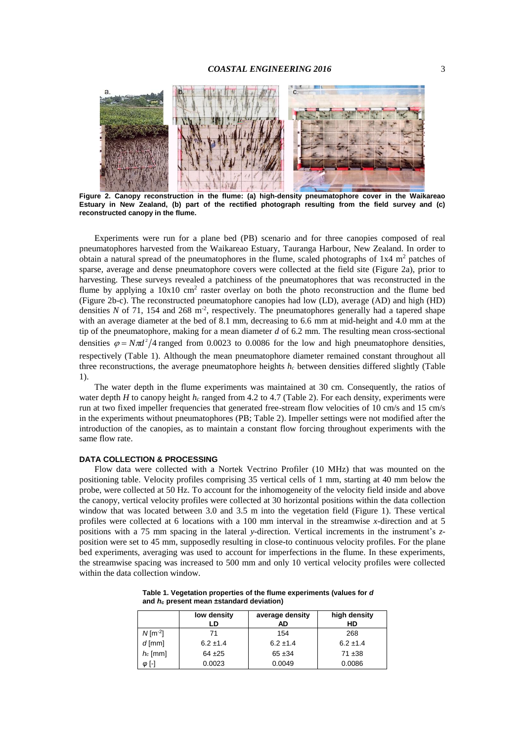

**Figure 2. Canopy reconstruction in the flume: (a) high-density pneumatophore cover in the Waikareao Estuary in New Zealand, (b) part of the rectified photograph resulting from the field survey and (c) reconstructed canopy in the flume.**

<span id="page-2-0"></span>Experiments were run for a plane bed (PB) scenario and for three canopies composed of real pneumatophores harvested from the Waikareao Estuary, Tauranga Harbour, New Zealand. In order to obtain a natural spread of the pneumatophores in the flume, scaled photographs of  $1x4 \text{ m}^2$  patches of sparse, average and dense pneumatophore covers were collected at the field site [\(Figure 2a](#page-2-0)), prior to harvesting. These surveys revealed a patchiness of the pneumatophores that was reconstructed in the flume by applying a  $10x10$  cm<sup>2</sup> raster overlay on both the photo reconstruction and the flume bed [\(Figure 2b](#page-2-0)-c). The reconstructed pneumatophore canopies had low (LD), average (AD) and high (HD) densities  $N$  of 71, 154 and 268 m<sup>-2</sup>, respectively. The pneumatophores generally had a tapered shape with an average diameter at the bed of 8.1 mm, decreasing to 6.6 mm at mid-height and 4.0 mm at the tip of the pneumatophore, making for a mean diameter *d* of 6.2 mm. The resulting mean cross-sectional densities  $\varphi = N \pi d^2/4$  ranged from 0.0023 to 0.0086 for the low and high pneumatophore densities, respectively [\(Table 1\)](#page-2-1). Although the mean pneumatophore diameter remained constant throughout all three reconstructions, the average pneumatophore heights  $h<sub>c</sub>$  between densities differed slightly (Table [1\)](#page-2-1).

The water depth in the flume experiments was maintained at 30 cm. Consequently, the ratios of water depth *H* to canopy height  $h_c$  ranged from 4.2 to 4.7 [\(Table 2\)](#page-3-0). For each density, experiments were run at two fixed impeller frequencies that generated free-stream flow velocities of 10 cm/s and 15 cm/s in the experiments without pneumatophores (PB; [Table 2\)](#page-3-0). Impeller settings were not modified after the introduction of the canopies, as to maintain a constant flow forcing throughout experiments with the same flow rate.

# **DATA COLLECTION & PROCESSING**

Flow data were collected with a Nortek Vectrino Profiler (10 MHz) that was mounted on the positioning table. Velocity profiles comprising 35 vertical cells of 1 mm, starting at 40 mm below the probe, were collected at 50 Hz. To account for the inhomogeneity of the velocity field inside and above the canopy, vertical velocity profiles were collected at 30 horizontal positions within the data collection window that was located between 3.0 and 3.5 m into the vegetation field [\(Figure 1\)](#page-1-0). These vertical profiles were collected at 6 locations with a 100 mm interval in the streamwise *x-*direction and at 5 positions with a 75 mm spacing in the lateral *y*-direction. Vertical increments in the instrument's *z*position were set to 45 mm, supposedly resulting in close-to continuous velocity profiles. For the plane bed experiments, averaging was used to account for imperfections in the flume. In these experiments, the streamwise spacing was increased to 500 mm and only 10 vertical velocity profiles were collected within the data collection window.

<span id="page-2-1"></span>**Table 1. Vegetation properties of the flume experiments (values for** *d* **and** *h<sup>c</sup>* **present mean ±standard deviation)**

|                        | low density<br>LD | average density<br>AD | high density<br>HD |
|------------------------|-------------------|-----------------------|--------------------|
| $N$ [m <sup>-2</sup> ] | 71                | 154                   | 268                |
| $d$ [mm]               | $6.2 \pm 1.4$     | $6.2 \pm 1.4$         | $6.2 \pm 1.4$      |
| $h_c$ [mm]             | $64 + 25$         | $65 + 34$             | $71 + 38$          |
| 0 [-]                  | 0.0023            | 0.0049                | 0.0086             |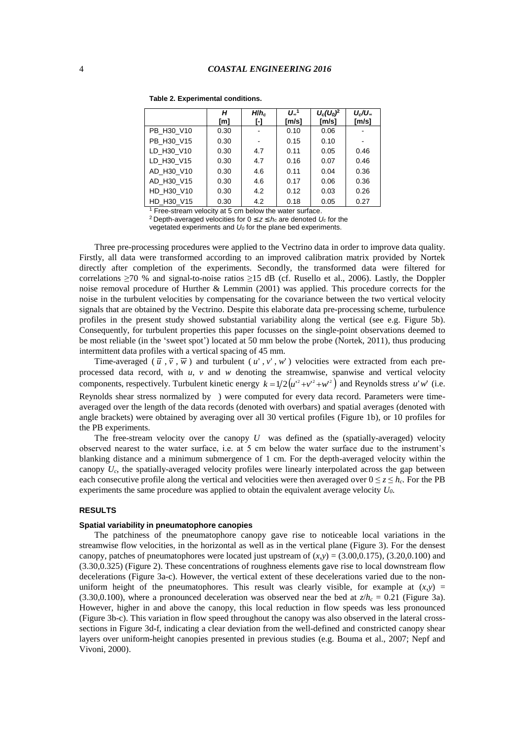|            | н    | $H/h_c$ | $U_{\infty}$ <sup>1</sup> | $U_c(U_0)^2$    | $U_c/U_{\infty}$ |
|------------|------|---------|---------------------------|-----------------|------------------|
|            | [m]  | ŀŀ      | [m/s]                     | $\mathsf{Im/s}$ | [m/s]            |
| PB H30 V10 | 0.30 |         | 0.10                      | 0.06            |                  |
| PB H30 V15 | 0.30 |         | 0.15                      | 0.10            |                  |
| LD H30 V10 | 0.30 | 4.7     | 0.11                      | 0.05            | 0.46             |
| LD H30 V15 | 0.30 | 4.7     | 0.16                      | 0.07            | 0.46             |
| AD H30 V10 | 0.30 | 4.6     | 0.11                      | 0.04            | 0.36             |
| AD H30 V15 | 0.30 | 4.6     | 0.17                      | 0.06            | 0.36             |
| HD H30 V10 | 0.30 | 4.2     | 0.12                      | 0.03            | 0.26             |
| HD H30 V15 | 0.30 | 4.2     | 0.18                      | 0.05            | 0.27             |

#### <span id="page-3-0"></span>**Table 2. Experimental conditions.**

 $1$  Free-stream velocity at 5 cm below the water surface.

<sup>2</sup> Depth-averaged velocities for 0  $z$  *h<sub>c</sub>* are denoted  $U_c$  for the vegetated experiments and *U<sup>0</sup>* for the plane bed experiments.

Three pre-processing procedures were applied to the Vectrino data in order to improve data quality. Firstly, all data were transformed according to an improved calibration matrix provided by Nortek directly after completion of the experiments. Secondly, the transformed data were filtered for correlations  $\geq$ 70 % and signal-to-noise ratios  $\geq$ 15 dB (cf. Rusello et al., 2006). Lastly, the Doppler noise removal procedure of Hurther & Lemmin (2001) was applied. This procedure corrects for the noise in the turbulent velocities by compensating for the covariance between the two vertical velocity signals that are obtained by the Vectrino. Despite this elaborate data pre-processing scheme, turbulence profiles in the present study showed substantial variability along the vertical (see e.g. [Figure 5b](#page-5-0)). Consequently, for turbulent properties this paper focusses on the single-point observations deemed to be most reliable (in the 'sweet spot') located at 50 mm below the probe (Nortek, 2011), thus producing intermittent data profiles with a vertical spacing of 45 mm.

Time-averaged  $(\bar{u}, \bar{v}, \bar{w})$  and turbulent  $(u', v', w')$  velocities were extracted from each preprocessed data record, with *u*, *v* and *w* denoting the streamwise, spanwise and vertical velocity components, respectively. Turbulent kinetic energy  $k = 1/2(u^{2} + v^{2} + w^{2})$  and Reynolds stress  $u'w'$  (i.e. Reynolds shear stress normalized by ) were computed for every data record. Parameters were timeaveraged over the length of the data records (denoted with overbars) and spatial averages (denoted with angle brackets) were obtained by averaging over all 30 vertical profiles [\(Figure 1b](#page-1-0)), or 10 profiles for the PB experiments.

The free-stream velocity over the canopy  $U$  was defined as the (spatially-averaged) velocity observed nearest to the water surface, i.e. at 5 cm below the water surface due to the instrument's blanking distance and a minimum submergence of 1 cm. For the depth-averaged velocity within the canopy  $U_c$ , the spatially-averaged velocity profiles were linearly interpolated across the gap between each consecutive profile along the vertical and velocities were then averaged over  $0 \le z \le h_c$ . For the PB experiments the same procedure was applied to obtain the equivalent average velocity *U0*.

# **RESULTS**

## **Spatial variability in pneumatophore canopies**

The patchiness of the pneumatophore canopy gave rise to noticeable local variations in the streamwise flow velocities, in the horizontal as well as in the vertical plane [\(Figure 3\)](#page-4-0). For the densest canopy, patches of pneumatophores were located just upstream of  $(x,y) = (3.00,0.175)$ ,  $(3.20,0.100)$  and (3.30,0.325) [\(Figure 2\)](#page-2-0). These concentrations of roughness elements gave rise to local downstream flow decelerations [\(Figure 3a](#page-4-0)-c). However, the vertical extent of these decelerations varied due to the nonuniform height of the pneumatophores. This result was clearly visible, for example at  $(x,y)$  = (3.30,0.100), where a pronounced deceleration was observed near the bed at  $z/h_c = 0.21$  [\(Figure 3a](#page-4-0)). However, higher in and above the canopy, this local reduction in flow speeds was less pronounced [\(Figure 3b](#page-4-0)-c). This variation in flow speed throughout the canopy was also observed in the lateral crosssections in [Figure 3d](#page-4-0)-f, indicating a clear deviation from the well-defined and constricted canopy shear layers over uniform-height canopies presented in previous studies (e.g. Bouma et al., 2007; Nepf and Vivoni, 2000).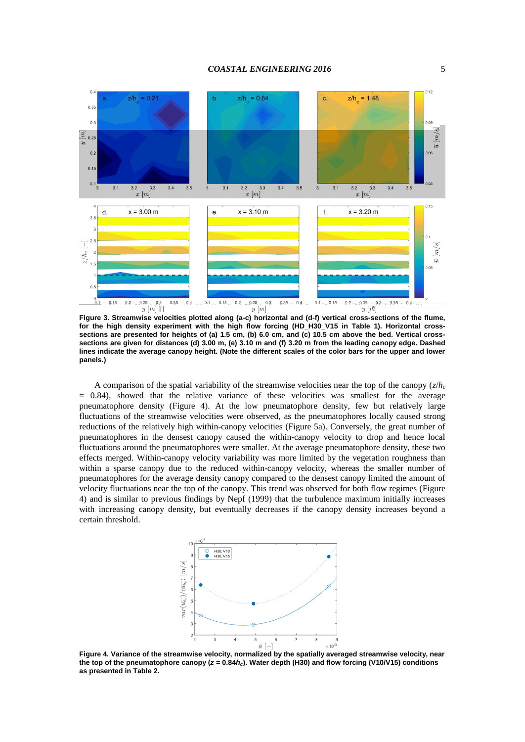

<span id="page-4-0"></span>**Figure 3. Streamwise velocities plotted along (a-c) horizontal and (d-f) vertical cross-sections of the flume, for the high density experiment with the high flow forcing (HD\_H30\_V15 in [Table 1\)](#page-2-1). Horizontal crosssections are presented for heights of (a) 1.5 cm, (b) 6.0 cm, and (c) 10.5 cm above the bed. Vertical crosssections are given for distances (d) 3.00 m, (e) 3.10 m and (f) 3.20 m from the leading canopy edge. Dashed lines indicate the average canopy height. (Note the different scales of the color bars for the upper and lower panels.)**

A comparison of the spatial variability of the streamwise velocities near the top of the canopy  $\left(\frac{z}{h_c}\right)$  $= 0.84$ ), showed that the relative variance of these velocities was smallest for the average pneumatophore density [\(Figure 4\)](#page-4-1). At the low pneumatophore density, few but relatively large fluctuations of the streamwise velocities were observed, as the pneumatophores locally caused strong reductions of the relatively high within-canopy velocities [\(Figure 5a](#page-5-0)). Conversely, the great number of pneumatophores in the densest canopy caused the within-canopy velocity to drop and hence local fluctuations around the pneumatophores were smaller. At the average pneumatophore density, these two effects merged. Within-canopy velocity variability was more limited by the vegetation roughness than within a sparse canopy due to the reduced within-canopy velocity, whereas the smaller number of pneumatophores for the average density canopy compared to the densest canopy limited the amount of velocity fluctuations near the top of the canopy. This trend was observed for both flow regimes [\(Figure](#page-4-1)  [4\)](#page-4-1) and is similar to previous findings by Nepf (1999) that the turbulence maximum initially increases with increasing canopy density, but eventually decreases if the canopy density increases beyond a certain threshold.



<span id="page-4-1"></span>**Figure 4. Variance of the streamwise velocity, normalized by the spatially averaged streamwise velocity, near the top of the pneumatophore canopy (***z* **= 0.84***hc***). Water depth (H30) and flow forcing (V10/V15) conditions as presented in [Table 2.](#page-3-0)**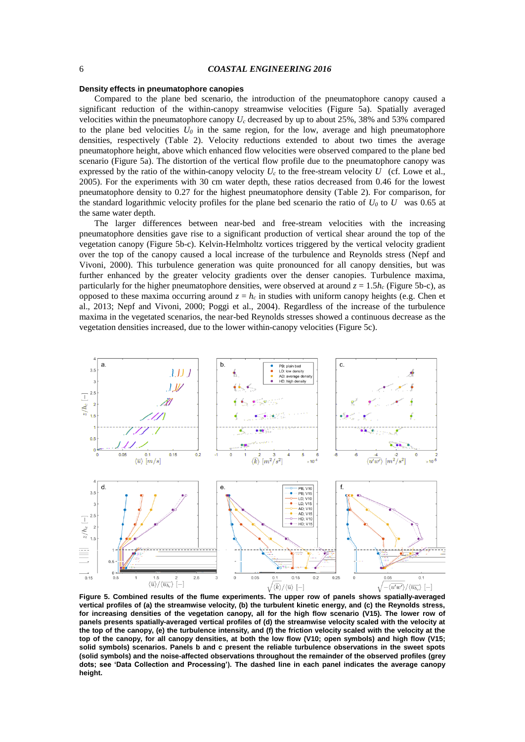#### **Density effects in pneumatophore canopies**

Compared to the plane bed scenario, the introduction of the pneumatophore canopy caused a significant reduction of the within-canopy streamwise velocities [\(Figure 5a](#page-5-0)). Spatially averaged velocities within the pneumatophore canopy *U<sup>c</sup>* decreased by up to about 25%, 38% and 53% compared to the plane bed velocities  $U_0$  in the same region, for the low, average and high pneumatophore densities, respectively [\(Table 2\)](#page-3-0). Velocity reductions extended to about two times the average pneumatophore height, above which enhanced flow velocities were observed compared to the plane bed scenario [\(Figure 5a](#page-5-0)). The distortion of the vertical flow profile due to the pneumatophore canopy was expressed by the ratio of the within-canopy velocity  $U_c$  to the free-stream velocity  $U_c$  (cf. Lowe et al., 2005). For the experiments with 30 cm water depth, these ratios decreased from 0.46 for the lowest pneumatophore density to 0.27 for the highest pneumatophore density [\(Table 2\)](#page-3-0). For comparison, for the standard logarithmic velocity profiles for the plane bed scenario the ratio of  $U_0$  to  $U$  was 0.65 at the same water depth.

The larger differences between near-bed and free-stream velocities with the increasing pneumatophore densities gave rise to a significant production of vertical shear around the top of the vegetation canopy [\(Figure 5b](#page-5-0)-c). Kelvin-Helmholtz vortices triggered by the vertical velocity gradient over the top of the canopy caused a local increase of the turbulence and Reynolds stress (Nepf and Vivoni, 2000). This turbulence generation was quite pronounced for all canopy densities, but was further enhanced by the greater velocity gradients over the denser canopies. Turbulence maxima, particularly for the higher pneumatophore densities, were observed at around  $z = 1.5h_c$  [\(Figure 5b](#page-5-0)-c), as opposed to these maxima occurring around  $z = h_c$  in studies with uniform canopy heights (e.g. Chen et al., 2013; Nepf and Vivoni, 2000; Poggi et al., 2004). Regardless of the increase of the turbulence maxima in the vegetated scenarios, the near-bed Reynolds stresses showed a continuous decrease as the vegetation densities increased, due to the lower within-canopy velocities [\(Figure 5c](#page-5-0)).



<span id="page-5-0"></span>**Figure 5. Combined results of the flume experiments. The upper row of panels shows spatially-averaged vertical profiles of (a) the streamwise velocity, (b) the turbulent kinetic energy, and (c) the Reynolds stress, for increasing densities of the vegetation canopy, all for the high flow scenario (V15). The lower row of panels presents spatially-averaged vertical profiles of (d) the streamwise velocity scaled with the velocity at the top of the canopy, (e) the turbulence intensity, and (f) the friction velocity scaled with the velocity at the top of the canopy, for all canopy densities, at both the low flow (V10; open symbols) and high flow (V15; solid symbols) scenarios. Panels b and c present the reliable turbulence observations in the sweet spots (solid symbols) and the noise-affected observations throughout the remainder of the observed profiles (grey dots; see 'Data Collection and Processing'). The dashed line in each panel indicates the average canopy height.**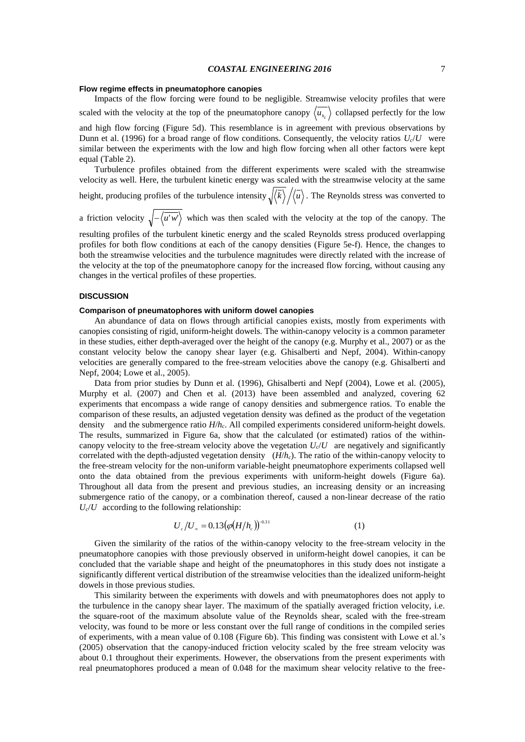### **Flow regime effects in pneumatophore canopies**

Impacts of the flow forcing were found to be negligible. Streamwise velocity profiles that were scaled with the velocity at the top of the pneumatophore canopy  $\langle u_{h_c} \rangle$  collapsed perfectly for the low and high flow forcing [\(Figure 5d](#page-5-0)). This resemblance is in agreement with previous observations by Dunn et al. (1996) for a broad range of flow conditions. Consequently, the velocity ratios  $U_c/U$  were similar between the experiments with the low and high flow forcing when all other factors were kept equal [\(Table 2\)](#page-3-0).

Turbulence profiles obtained from the different experiments were scaled with the streamwise velocity as well. Here, the turbulent kinetic energy was scaled with the streamwise velocity at the same height, producing profiles of the turbulence intensity  $\sqrt{\langle k \rangle / \langle u \rangle}$ . The Reynolds stress was converted to

a friction velocity  $\sqrt{-\langle u'w' \rangle}$  which was then scaled with the velocity at the top of the canopy. The

resulting profiles of the turbulent kinetic energy and the scaled Reynolds stress produced overlapping profiles for both flow conditions at each of the canopy densities [\(Figure 5e](#page-5-0)-f). Hence, the changes to both the streamwise velocities and the turbulence magnitudes were directly related with the increase of the velocity at the top of the pneumatophore canopy for the increased flow forcing, without causing any changes in the vertical profiles of these properties.

# **DISCUSSION**

#### **Comparison of pneumatophores with uniform dowel canopies**

An abundance of data on flows through artificial canopies exists, mostly from experiments with canopies consisting of rigid, uniform-height dowels. The within-canopy velocity is a common parameter in these studies, either depth-averaged over the height of the canopy (e.g. Murphy et al., 2007) or as the constant velocity below the canopy shear layer (e.g. Ghisalberti and Nepf, 2004). Within-canopy velocities are generally compared to the free-stream velocities above the canopy (e.g. Ghisalberti and Nepf, 2004; Lowe et al., 2005).

Data from prior studies by Dunn et al. (1996), Ghisalberti and Nepf (2004), Lowe et al. (2005), Murphy et al. (2007) and Chen et al. (2013) have been assembled and analyzed, covering 62 experiments that encompass a wide range of canopy densities and submergence ratios. To enable the comparison of these results, an adjusted vegetation density was defined as the product of the vegetation density and the submergence ratio *H*/*hc*. All compiled experiments considered uniform-height dowels. The results, summarized in [Figure 6a](#page-7-0), show that the calculated (or estimated) ratios of the withincanopy velocity to the free-stream velocity above the vegetation  $U_c/U$  are negatively and significantly correlated with the depth-adjusted vegetation density (*H*/*hc*). The ratio of the within-canopy velocity to the free-stream velocity for the non-uniform variable-height pneumatophore experiments collapsed well onto the data obtained from the previous experiments with uniform-height dowels [\(Figure 6a](#page-7-0)). Throughout all data from the present and previous studies, an increasing density or an increasing submergence ratio of the canopy, or a combination thereof, caused a non-linear decrease of the ratio  $U_c/U$  according to the following relationship:

$$
U_c/U_{\infty} = 0.13(\varphi(H/h_c))^{-0.31}
$$
 (1)

Given the similarity of the ratios of the within-canopy velocity to the free-stream velocity in the pneumatophore canopies with those previously observed in uniform-height dowel canopies, it can be concluded that the variable shape and height of the pneumatophores in this study does not instigate a significantly different vertical distribution of the streamwise velocities than the idealized uniform-height dowels in those previous studies.

This similarity between the experiments with dowels and with pneumatophores does not apply to the turbulence in the canopy shear layer. The maximum of the spatially averaged friction velocity, i.e. the square-root of the maximum absolute value of the Reynolds shear, scaled with the free-stream velocity, was found to be more or less constant over the full range of conditions in the compiled series of experiments, with a mean value of 0.108 [\(Figure 6b](#page-7-0)). This finding was consistent with Lowe et al.'s (2005) observation that the canopy-induced friction velocity scaled by the free stream velocity was about 0.1 throughout their experiments. However, the observations from the present experiments with real pneumatophores produced a mean of 0.048 for the maximum shear velocity relative to the free-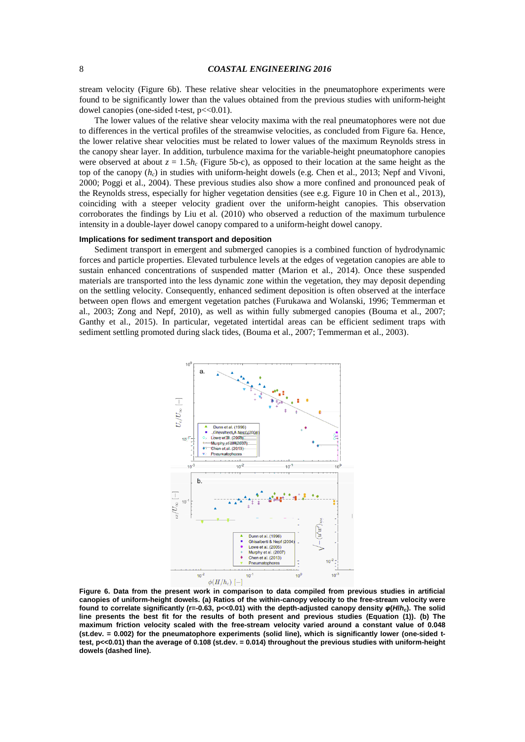## 8 *COASTAL ENGINEERING 2016*

stream velocity [\(Figure 6b](#page-7-0)). These relative shear velocities in the pneumatophore experiments were found to be significantly lower than the values obtained from the previous studies with uniform-height dowel canopies (one-sided t-test,  $p \ll 0.01$ ).

The lower values of the relative shear velocity maxima with the real pneumatophores were not due to differences in the vertical profiles of the streamwise velocities, as concluded from [Figure 6a](#page-7-0). Hence, the lower relative shear velocities must be related to lower values of the maximum Reynolds stress in the canopy shear layer. In addition, turbulence maxima for the variable-height pneumatophore canopies were observed at about  $z = 1.5h_c$  [\(Figure 5b](#page-5-0)-c), as opposed to their location at the same height as the top of the canopy (*hc*) in studies with uniform-height dowels (e.g. Chen et al., 2013; Nepf and Vivoni, 2000; Poggi et al., 2004). These previous studies also show a more confined and pronounced peak of the Reynolds stress, especially for higher vegetation densities (see e.g. Figure 10 in Chen et al., 2013), coinciding with a steeper velocity gradient over the uniform-height canopies. This observation corroborates the findings by Liu et al. (2010) who observed a reduction of the maximum turbulence intensity in a double-layer dowel canopy compared to a uniform-height dowel canopy.

### **Implications for sediment transport and deposition**

Sediment transport in emergent and submerged canopies is a combined function of hydrodynamic forces and particle properties. Elevated turbulence levels at the edges of vegetation canopies are able to sustain enhanced concentrations of suspended matter (Marion et al., 2014). Once these suspended materials are transported into the less dynamic zone within the vegetation, they may deposit depending on the settling velocity. Consequently, enhanced sediment deposition is often observed at the interface between open flows and emergent vegetation patches (Furukawa and Wolanski, 1996; Temmerman et al., 2003; Zong and Nepf, 2010), as well as within fully submerged canopies (Bouma et al., 2007; Ganthy et al., 2015). In particular, vegetated intertidal areas can be efficient sediment traps with sediment settling promoted during slack tides, (Bouma et al., 2007; Temmerman et al., 2003).



<span id="page-7-0"></span>**Figure 6. Data from the present work in comparison to data compiled from previous studies in artificial canopies of uniform-height dowels. (a) Ratios of the within-canopy velocity to the free-stream velocity were found to correlate significantly (r=-0.63, p<<0.01) with the depth-adjusted canopy density** *φ***(***H***/***hc***). The solid line presents the best fit for the results of both present and previous studies (Equation (1)). (b) The maximum friction velocity scaled with the free-stream velocity varied around a constant value of 0.048 (st.dev. = 0.002) for the pneumatophore experiments (solid line), which is significantly lower (one-sided ttest, p<<0.01) than the average of 0.108 (st.dev. = 0.014) throughout the previous studies with uniform-height dowels (dashed line).**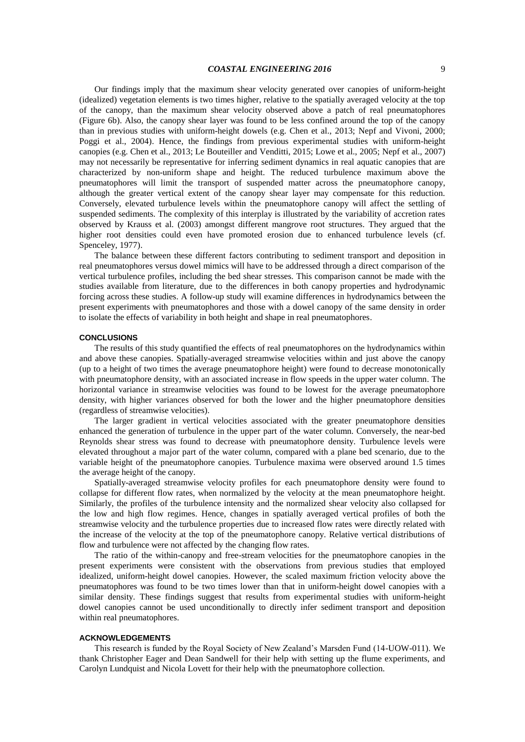Our findings imply that the maximum shear velocity generated over canopies of uniform-height (idealized) vegetation elements is two times higher, relative to the spatially averaged velocity at the top of the canopy, than the maximum shear velocity observed above a patch of real pneumatophores [\(Figure 6b](#page-7-0)). Also, the canopy shear layer was found to be less confined around the top of the canopy than in previous studies with uniform-height dowels (e.g. Chen et al., 2013; Nepf and Vivoni, 2000; Poggi et al., 2004). Hence, the findings from previous experimental studies with uniform-height canopies (e.g. Chen et al., 2013; Le Bouteiller and Venditti, 2015; Lowe et al., 2005; Nepf et al., 2007) may not necessarily be representative for inferring sediment dynamics in real aquatic canopies that are characterized by non-uniform shape and height. The reduced turbulence maximum above the pneumatophores will limit the transport of suspended matter across the pneumatophore canopy, although the greater vertical extent of the canopy shear layer may compensate for this reduction. Conversely, elevated turbulence levels within the pneumatophore canopy will affect the settling of suspended sediments. The complexity of this interplay is illustrated by the variability of accretion rates observed by Krauss et al. (2003) amongst different mangrove root structures. They argued that the higher root densities could even have promoted erosion due to enhanced turbulence levels (cf. Spenceley, 1977).

The balance between these different factors contributing to sediment transport and deposition in real pneumatophores versus dowel mimics will have to be addressed through a direct comparison of the vertical turbulence profiles, including the bed shear stresses. This comparison cannot be made with the studies available from literature, due to the differences in both canopy properties and hydrodynamic forcing across these studies. A follow-up study will examine differences in hydrodynamics between the present experiments with pneumatophores and those with a dowel canopy of the same density in order to isolate the effects of variability in both height and shape in real pneumatophores.

#### **CONCLUSIONS**

The results of this study quantified the effects of real pneumatophores on the hydrodynamics within and above these canopies. Spatially-averaged streamwise velocities within and just above the canopy (up to a height of two times the average pneumatophore height) were found to decrease monotonically with pneumatophore density, with an associated increase in flow speeds in the upper water column. The horizontal variance in streamwise velocities was found to be lowest for the average pneumatophore density, with higher variances observed for both the lower and the higher pneumatophore densities (regardless of streamwise velocities).

The larger gradient in vertical velocities associated with the greater pneumatophore densities enhanced the generation of turbulence in the upper part of the water column. Conversely, the near-bed Reynolds shear stress was found to decrease with pneumatophore density. Turbulence levels were elevated throughout a major part of the water column, compared with a plane bed scenario, due to the variable height of the pneumatophore canopies. Turbulence maxima were observed around 1.5 times the average height of the canopy.

Spatially-averaged streamwise velocity profiles for each pneumatophore density were found to collapse for different flow rates, when normalized by the velocity at the mean pneumatophore height. Similarly, the profiles of the turbulence intensity and the normalized shear velocity also collapsed for the low and high flow regimes. Hence, changes in spatially averaged vertical profiles of both the streamwise velocity and the turbulence properties due to increased flow rates were directly related with the increase of the velocity at the top of the pneumatophore canopy. Relative vertical distributions of flow and turbulence were not affected by the changing flow rates.

The ratio of the within-canopy and free-stream velocities for the pneumatophore canopies in the present experiments were consistent with the observations from previous studies that employed idealized, uniform-height dowel canopies. However, the scaled maximum friction velocity above the pneumatophores was found to be two times lower than that in uniform-height dowel canopies with a similar density. These findings suggest that results from experimental studies with uniform-height dowel canopies cannot be used unconditionally to directly infer sediment transport and deposition within real pneumatophores.

### **ACKNOWLEDGEMENTS**

This research is funded by the Royal Society of New Zealand's Marsden Fund (14-UOW-011). We thank Christopher Eager and Dean Sandwell for their help with setting up the flume experiments, and Carolyn Lundquist and Nicola Lovett for their help with the pneumatophore collection.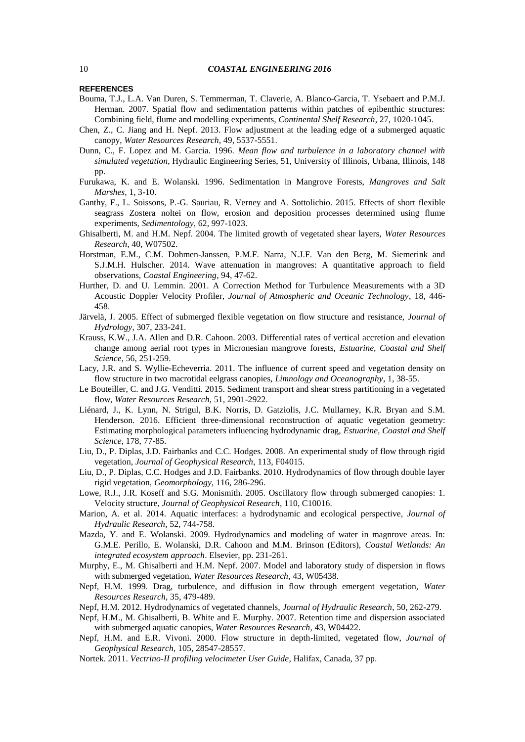## 10 *COASTAL ENGINEERING 2016*

### **REFERENCES**

- Bouma, T.J., L.A. Van Duren, S. Temmerman, T. Claverie, A. Blanco-Garcia, T. Ysebaert and P.M.J. Herman. 2007. Spatial flow and sedimentation patterns within patches of epibenthic structures: Combining field, flume and modelling experiments, *Continental Shelf Research*, 27, 1020-1045.
- Chen, Z., C. Jiang and H. Nepf. 2013. Flow adjustment at the leading edge of a submerged aquatic canopy, *Water Resources Research*, 49, 5537-5551.
- Dunn, C., F. Lopez and M. Garcia. 1996. *Mean flow and turbulence in a laboratory channel with simulated vegetation*, Hydraulic Engineering Series, 51, University of Illinois, Urbana, Illinois, 148 pp.
- Furukawa, K. and E. Wolanski. 1996. Sedimentation in Mangrove Forests, *Mangroves and Salt Marshes*, 1, 3-10.
- Ganthy, F., L. Soissons, P.-G. Sauriau, R. Verney and A. Sottolichio. 2015. Effects of short flexible seagrass Zostera noltei on flow, erosion and deposition processes determined using flume experiments, *Sedimentology*, 62, 997-1023.
- Ghisalberti, M. and H.M. Nepf. 2004. The limited growth of vegetated shear layers, *Water Resources Research*, 40, W07502.
- Horstman, E.M., C.M. Dohmen-Janssen, P.M.F. Narra, N.J.F. Van den Berg, M. Siemerink and S.J.M.H. Hulscher. 2014. Wave attenuation in mangroves: A quantitative approach to field observations, *Coastal Engineering*, 94, 47-62.
- Hurther, D. and U. Lemmin. 2001. A Correction Method for Turbulence Measurements with a 3D Acoustic Doppler Velocity Profiler, *Journal of Atmospheric and Oceanic Technology*, 18, 446- 458.
- Järvelä, J. 2005. Effect of submerged flexible vegetation on flow structure and resistance, *Journal of Hydrology*, 307, 233-241.
- Krauss, K.W., J.A. Allen and D.R. Cahoon. 2003. Differential rates of vertical accretion and elevation change among aerial root types in Micronesian mangrove forests, *Estuarine, Coastal and Shelf Science*, 56, 251-259.
- Lacy, J.R. and S. Wyllie-Echeverria. 2011. The influence of current speed and vegetation density on flow structure in two macrotidal eelgrass canopies, *Limnology and Oceanography*, 1, 38-55.
- Le Bouteiller, C. and J.G. Venditti. 2015. Sediment transport and shear stress partitioning in a vegetated flow, *Water Resources Research*, 51, 2901-2922.
- Liénard, J., K. Lynn, N. Strigul, B.K. Norris, D. Gatziolis, J.C. Mullarney, K.R. Bryan and S.M. Henderson. 2016. Efficient three-dimensional reconstruction of aquatic vegetation geometry: Estimating morphological parameters influencing hydrodynamic drag, *Estuarine, Coastal and Shelf Science*, 178, 77-85.
- Liu, D., P. Diplas, J.D. Fairbanks and C.C. Hodges. 2008. An experimental study of flow through rigid vegetation, *Journal of Geophysical Research*, 113, F04015.
- Liu, D., P. Diplas, C.C. Hodges and J.D. Fairbanks. 2010. Hydrodynamics of flow through double layer rigid vegetation, *Geomorphology*, 116, 286-296.
- Lowe, R.J., J.R. Koseff and S.G. Monismith. 2005. Oscillatory flow through submerged canopies: 1. Velocity structure, *Journal of Geophysical Research*, 110, C10016.
- Marion, A. et al. 2014. Aquatic interfaces: a hydrodynamic and ecological perspective, *Journal of Hydraulic Research*, 52, 744-758.
- Mazda, Y. and E. Wolanski. 2009. Hydrodynamics and modeling of water in magnrove areas. In: G.M.E. Perillo, E. Wolanski, D.R. Cahoon and M.M. Brinson (Editors), *Coastal Wetlands: An integrated ecosystem approach*. Elsevier, pp. 231-261.
- Murphy, E., M. Ghisalberti and H.M. Nepf. 2007. Model and laboratory study of dispersion in flows with submerged vegetation, *Water Resources Research*, 43, W05438.
- Nepf, H.M. 1999. Drag, turbulence, and diffusion in flow through emergent vegetation, *Water Resources Research*, 35, 479-489.
- Nepf, H.M. 2012. Hydrodynamics of vegetated channels, *Journal of Hydraulic Research*, 50, 262-279.
- Nepf, H.M., M. Ghisalberti, B. White and E. Murphy. 2007. Retention time and dispersion associated with submerged aquatic canopies, *Water Resources Research*, 43, W04422.
- Nepf, H.M. and E.R. Vivoni. 2000. Flow structure in depth-limited, vegetated flow, *Journal of Geophysical Research*, 105, 28547-28557.
- Nortek. 2011. *Vectrino-II profiling velocimeter User Guide*, Halifax, Canada, 37 pp.